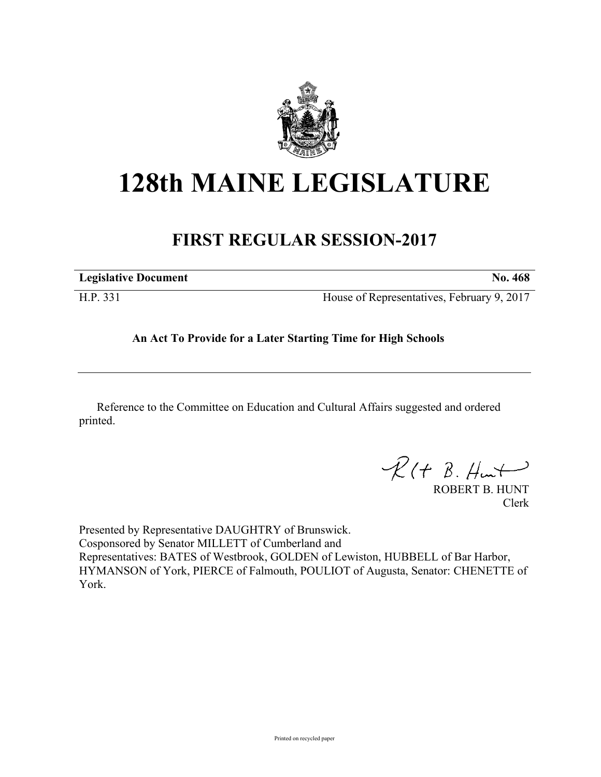

## **128th MAINE LEGISLATURE**

## **FIRST REGULAR SESSION-2017**

| <b>Legislative Document</b> | <b>No.</b> 468                             |
|-----------------------------|--------------------------------------------|
| H.P. 331                    | House of Representatives, February 9, 2017 |

**An Act To Provide for a Later Starting Time for High Schools**

Reference to the Committee on Education and Cultural Affairs suggested and ordered printed.

 $R(H B. H<sub>un</sub>)$ 

ROBERT B. HUNT Clerk

Presented by Representative DAUGHTRY of Brunswick. Cosponsored by Senator MILLETT of Cumberland and Representatives: BATES of Westbrook, GOLDEN of Lewiston, HUBBELL of Bar Harbor, HYMANSON of York, PIERCE of Falmouth, POULIOT of Augusta, Senator: CHENETTE of York.